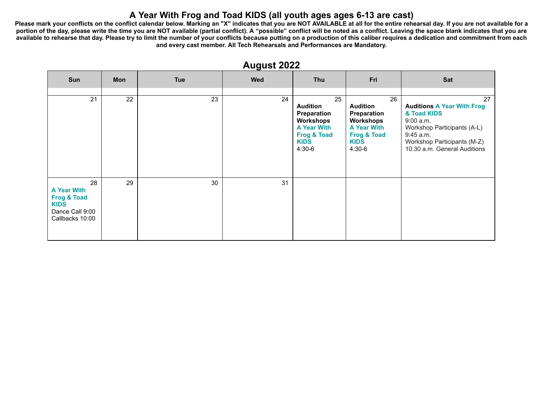## **A Year With Frog and Toad KIDS (all youth ages ages 6-13 are cast)**

Please mark your conflicts on the conflict calendar below. Marking an "X" indicates that you are NOT AVAILABLE at all for the entire rehearsal day. If you are not available for a portion of the day, please write the time you are NOT available (partial conflict). A "possible" conflict will be noted as a conflict. Leaving the space blank indicates that you are **available to rehearse that day. Please try to limit the number of your conflicts because putting on a production of this caliber requires a dedication and commitment from each and every cast member. All Tech Rehearsals and Performances are Mandatory.**

| <u>.</u>                                                                                                |     |            |     |                                                                                                                              |                                                                                                                              |                                                                                                                                                                                |  |
|---------------------------------------------------------------------------------------------------------|-----|------------|-----|------------------------------------------------------------------------------------------------------------------------------|------------------------------------------------------------------------------------------------------------------------------|--------------------------------------------------------------------------------------------------------------------------------------------------------------------------------|--|
| Sun                                                                                                     | Mon | <b>Tue</b> | Wed | Thu                                                                                                                          | Fri                                                                                                                          | Sat                                                                                                                                                                            |  |
| 21                                                                                                      | 22  | 23         | 24  | 25<br><b>Audition</b><br>Preparation<br>Workshops<br><b>A Year With</b><br><b>Frog &amp; Toad</b><br><b>KIDS</b><br>$4:30-6$ | 26<br><b>Audition</b><br>Preparation<br>Workshops<br><b>A Year With</b><br><b>Frog &amp; Toad</b><br><b>KIDS</b><br>$4:30-6$ | 27<br><b>Auditions A Year With Frog</b><br>& Toad KIDS<br>9:00 a.m.<br>Workshop Participants (A-L)<br>9:45 a.m.<br>Workshop Participants (M-Z)<br>10:30 a.m. General Auditions |  |
| 28<br><b>A Year With</b><br><b>Frog &amp; Toad</b><br><b>KIDS</b><br>Dance Call 9:00<br>Callbacks 10:00 | 29  | 30         | 31  |                                                                                                                              |                                                                                                                              |                                                                                                                                                                                |  |

#### **August 2022**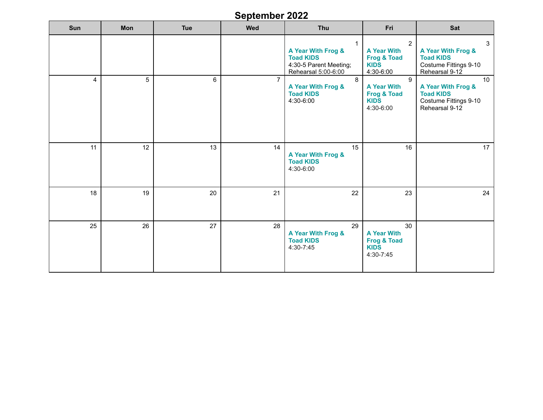# **September 2022**

| Sun | Mon | <b>Tue</b> | Wed            | Thu                                                                                                     | Fri                                                                                        | Sat                                                                                     |
|-----|-----|------------|----------------|---------------------------------------------------------------------------------------------------------|--------------------------------------------------------------------------------------------|-----------------------------------------------------------------------------------------|
|     |     |            |                | $\mathbf{1}$<br>A Year With Frog &<br><b>Toad KIDS</b><br>4:30-5 Parent Meeting;<br>Rehearsal 5:00-6:00 | $\overline{2}$<br><b>A Year With</b><br><b>Frog &amp; Toad</b><br><b>KIDS</b><br>4:30-6:00 | 3<br>A Year With Frog &<br><b>Toad KIDS</b><br>Costume Fittings 9-10<br>Rehearsal 9-12  |
| 4   | 5   | 6          | $\overline{7}$ | 8<br>A Year With Frog &<br><b>Toad KIDS</b><br>4:30-6:00                                                | 9<br><b>A Year With</b><br><b>Frog &amp; Toad</b><br><b>KIDS</b><br>4:30-6:00              | 10<br>A Year With Frog &<br><b>Toad KIDS</b><br>Costume Fittings 9-10<br>Rehearsal 9-12 |
| 11  | 12  | 13         | 14             | 15<br>A Year With Frog &<br><b>Toad KIDS</b><br>4:30-6:00                                               | 16                                                                                         | 17                                                                                      |
| 18  | 19  | 20         | 21             | 22                                                                                                      | 23                                                                                         | 24                                                                                      |
| 25  | 26  | 27         | 28             | 29<br>A Year With Frog &<br><b>Toad KIDS</b><br>4:30-7:45                                               | 30<br><b>A Year With</b><br><b>Frog &amp; Toad</b><br><b>KIDS</b><br>4:30-7:45             |                                                                                         |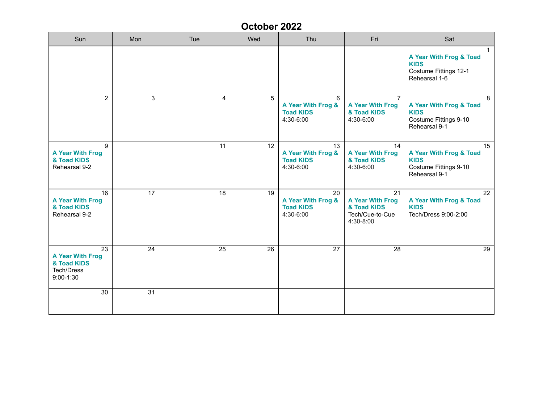# **October 2022**

| Sun                                                                                | Mon          | Tue | Wed | Thu                                                       | Fri                                                                          | Sat                                                                                              |
|------------------------------------------------------------------------------------|--------------|-----|-----|-----------------------------------------------------------|------------------------------------------------------------------------------|--------------------------------------------------------------------------------------------------|
|                                                                                    |              |     |     |                                                           |                                                                              | $\mathbf{1}$<br>A Year With Frog & Toad<br><b>KIDS</b><br>Costume Fittings 12-1<br>Rehearsal 1-6 |
| $\overline{a}$                                                                     | $\mathbf{3}$ | 4   | 5   | 6<br>A Year With Frog &<br><b>Toad KIDS</b><br>4:30-6:00  | 7<br><b>A Year With Frog</b><br>& Toad KIDS<br>4:30-6:00                     | 8<br>A Year With Frog & Toad<br><b>KIDS</b><br>Costume Fittings 9-10<br>Rehearsal 9-1            |
| 9<br><b>A Year With Frog</b><br>& Toad KIDS<br>Rehearsal 9-2                       |              | 11  | 12  | 13<br>A Year With Frog &<br><b>Toad KIDS</b><br>4:30-6:00 | 14<br><b>A Year With Frog</b><br>& Toad KIDS<br>4:30-6:00                    | 15<br>A Year With Frog & Toad<br><b>KIDS</b><br>Costume Fittings 9-10<br>Rehearsal 9-1           |
| 16<br><b>A Year With Frog</b><br>& Toad KIDS<br>Rehearsal 9-2                      | 17           | 18  | 19  | 20<br>A Year With Frog &<br><b>Toad KIDS</b><br>4:30-6:00 | 21<br><b>A Year With Frog</b><br>& Toad KIDS<br>Tech/Cue-to-Cue<br>4:30-8:00 | 22<br>A Year With Frog & Toad<br><b>KIDS</b><br>Tech/Dress 9:00-2:00                             |
| 23<br><b>A Year With Frog</b><br>& Toad KIDS<br><b>Tech/Dress</b><br>$9:00 - 1:30$ | 24           | 25  | 26  | 27                                                        | 28                                                                           | 29                                                                                               |
| 30                                                                                 | 31           |     |     |                                                           |                                                                              |                                                                                                  |